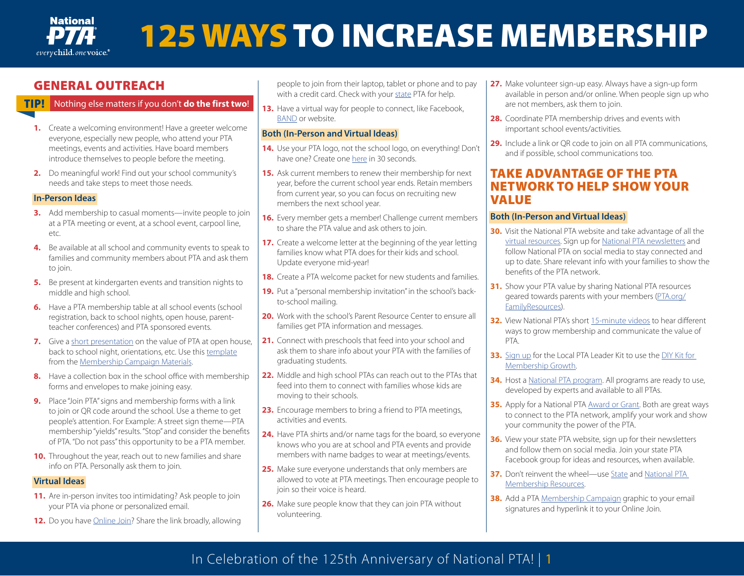

## GENERAL OUTREACH

## TIP! Nothing else matters if you don't **do the first two**!

- **1.** Create a welcoming environment! Have a greeter welcome everyone, especially new people, who attend your PTA meetings, events and activities. Have board members introduce themselves to people before the meeting.
- **2.** Do meaningful work! Find out your school community's needs and take steps to meet those needs.

#### **In-Person Ideas**

- **3.** Add membership to casual moments—invite people to join at a PTA meeting or event, at a school event, carpool line, etc.
- **4.** Be available at all school and community events to speak to families and community members about PTA and ask them to join.
- **5.** Be present at kindergarten events and transition nights to middle and high school.
- **6.** Have a PTA membership table at all school events (school registration, back to school nights, open house, parentteacher conferences) and PTA sponsored events.
- **7.** Give a [short presentation](https://www.pta.org/home/run-your-pta/membership-resources) on the value of PTA at open house, back to school night, orientations, etc. Use this [template](https://www.pta.org/docs/default-source/default-document-library/mmc-presentation-template.pptx) from the [Membership Campaign Materials.](https://www.pta.org/home/run-your-pta/membership-campaign#zip)
- **8.** Have a collection box in the school office with membership forms and envelopes to make joining easy.
- **9.** Place "Join PTA" signs and membership forms with a link to join or QR code around the school. Use a theme to get people's attention. For Example: A street sign theme—PTA membership "yields" results. "Stop" and consider the benefits of PTA. "Do not pass" this opportunity to be a PTA member.
- **10.** Throughout the year, reach out to new families and share info on PTA. Personally ask them to join.

## **Virtual Ideas**

- **11.** Are in-person invites too intimidating? Ask people to join your PTA via phone or personalized email.
- **12.** Do you have **Online Join?** Share the link broadly, allowing

people to join from their laptop, tablet or phone and to pay with a credit card. Check with your [state](https://www.pta.org/home/About-National-Parent-Teacher-Association/PTA-Leadership/state-offices) PTA for help.

**13.** Have a virtual way for people to connect, like Facebook, [BAND](http://band-7338842.hs-sites.com/pta) or website.

## **Both (In-Person and Virtual Ideas)**

- **14.** Use your PTA logo, not the school logo, on everything! Don't have one? Create one [here](https://www.pta.org/home/run-your-pta/PTA-Branding-and-Web-Guidelines) in 30 seconds.
- **15.** Ask current members to renew their membership for next year, before the current school year ends. Retain members from current year, so you can focus on recruiting new members the next school year.
- **16.** Every member gets a member! Challenge current members to share the PTA value and ask others to join.
- **17.** Create a welcome letter at the beginning of the year letting families know what PTA does for their kids and school. Update everyone mid-year!
- **18.** Create a PTA welcome packet for new students and families.
- **19.** Put a "personal membership invitation" in the school's backto-school mailing.
- **20.** Work with the school's Parent Resource Center to ensure all families get PTA information and messages.
- **21.** Connect with preschools that feed into your school and ask them to share info about your PTA with the families of graduating students.
- **22.** Middle and high school PTAs can reach out to the PTAs that feed into them to connect with families whose kids are moving to their schools.
- **23.** Encourage members to bring a friend to PTA meetings, activities and events.
- **24.** Have PTA shirts and/or name tags for the board, so everyone knows who you are at school and PTA events and provide members with name badges to wear at meetings/events.
- **25.** Make sure everyone understands that only members are allowed to vote at PTA meetings. Then encourage people to join so their voice is heard.
- **26.** Make sure people know that they can join PTA without volunteering.
- **27.** Make volunteer sign-up easy. Always have a sign-up form available in person and/or online. When people sign up who are not members, ask them to join.
- **28.** Coordinate PTA membership drives and events with important school events/activities.
- **29.** Include a link or QR code to join on all PTA communications, and if possible, school communications too.

## TAKE ADVANTAGE OF THE PTA NETWORK TO HELP SHOW YOUR VALUE

## **Both (In-Person and Virtual Ideas)**

- **30.** Visit the National PTA website and take advantage of all the [virtual resources](https://www.pta.org/home/run-your-pta/lead-a-virtual-pta). Sign up for [National PTA newsletters](https://www.pta.org/home/run-your-pta/Subscribe-to-e-Newsletters) and follow National PTA on social media to stay connected and up to date. Share relevant info with your families to show the benefits of the PTA network.
- **31.** Show your PTA value by sharing National PTA resources geared towards parents with your members ([PTA.org/](http://PTA.org/FamilyResources) [FamilyResources](http://PTA.org/FamilyResources)).
- **32.** View National PTA's short [15-minute videos](https://www.pta.org/home/run-your-pta/membership-resources/micro-learning-videos) to hear different ways to grow membership and communicate the value of PTA.
- **33.** [Sign up](https://www.pta.org/local-leader-kit) for the Local PTA Leader Kit to use the [DIY Kit for](https://www.pta.org/local-leader-kit/membership/developing-a-plan/diy-kit-for-membership-growth)  [Membership Growth.](https://www.pta.org/local-leader-kit/membership/developing-a-plan/diy-kit-for-membership-growth)
- **34.** Host a [National PTA program](https://www.pta.org/home/programs). All programs are ready to use, developed by experts and available to all PTAs.
- **35.** Apply for a National PTA [Award or Grant.](https://www.pta.org/home/run-your-pta/Awards-Grants) Both are great ways to connect to the PTA network, amplify your work and show your community the power of the PTA.
- **36.** View your state PTA website, sign up for their newsletters and follow them on social media. Join your state PTA Facebook group for ideas and resources, when available.
- **37.** Don't reinvent the wheel—use [State](https://www.pta.org/home/About-National-Parent-Teacher-Association/PTA-Leadership/state-offices) and [National PTA](http://www.pta.org/membership)  [Membership Resources.](http://www.pta.org/membership)
- **38.** Add a PTA [Membership Campaign](http://www.pta.org/membershipcampaign) graphic to your email signatures and hyperlink it to your Online Join.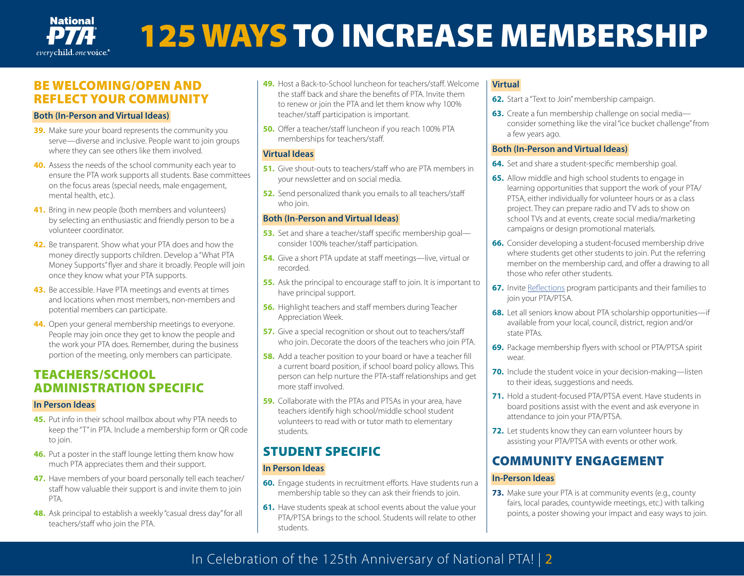

## BE WELCOMING/OPEN AND REFLECT YOUR COMMUNITY

#### **Both (In-Person and Virtual Ideas)**

- **39.** Make sure your board represents the community you serve—diverse and inclusive. People want to join groups where they can see others like them involved.
- **40.** Assess the needs of the school community each year to ensure the PTA work supports all students. Base committees on the focus areas (special needs, male engagement, mental health, etc.).
- **41.** Bring in new people (both members and volunteers) by selecting an enthusiastic and friendly person to be a volunteer coordinator.
- **42.** Be transparent. Show what your PTA does and how the money directly supports children. Develop a "What PTA Money Supports" flyer and share it broadly. People will join once they know what your PTA supports.
- **43.** Be accessible. Have PTA meetings and events at times and locations when most members, non-members and potential members can participate.
- **44.** Open your general membership meetings to everyone. People may join once they get to know the people and the work your PTA does. Remember, during the business portion of the meeting, only members can participate.

## TEACHERS/SCHOOL ADMINISTRATION SPECIFIC

## **In Person Ideas**

- **45.** Put info in their school mailbox about why PTA needs to keep the "T" in PTA. Include a membership form or QR code to join.
- **46.** Put a poster in the staff lounge letting them know how much PTA appreciates them and their support.
- **47.** Have members of your board personally tell each teacher/ staff how valuable their support is and invite them to join PTA.
- **48.** Ask principal to establish a weekly "casual dress day" for all teachers/staff who join the PTA.
- **49.** Host a Back-to-School luncheon for teachers/staff. Welcome the staff back and share the benefits of PTA. Invite them to renew or join the PTA and let them know why 100% teacher/staff participation is important.
- **50.** Offer a teacher/staff luncheon if you reach 100% PTA memberships for teachers/staff.

## **Virtual Ideas**

- **51.** Give shout-outs to teachers/staff who are PTA members in your newsletter and on social media.
- **52.** Send personalized thank you emails to all teachers/staff who join.

## **Both (In-Person and Virtual Ideas)**

- **53.** Set and share a teacher/staff specific membership goal consider 100% teacher/staff participation.
- **54.** Give a short PTA update at staff meetings—live, virtual or recorded.
- **55.** Ask the principal to encourage staff to join. It is important to have principal support.
- **56.** Highlight teachers and staff members during Teacher Appreciation Week.
- **57.** Give a special recognition or shout out to teachers/staff who join. Decorate the doors of the teachers who join PTA.
- **58.** Add a teacher position to your board or have a teacher fill a current board position, if school board policy allows. This person can help nurture the PTA-staff relationships and get more staff involved.
- **59.** Collaborate with the PTAs and PTSAs in your area, have teachers identify high school/middle school student volunteers to read with or tutor math to elementary students.

# STUDENT SPECIFIC

## **In Person Ideas**

- **60.** Engage students in recruitment efforts. Have students run a membership table so they can ask their friends to join.
- **61.** Have students speak at school events about the value your PTA/PTSA brings to the school. Students will relate to other students.

## **Virtual**

- **62.** Start a "Text to Join" membership campaign.
- **63.** Create a fun membership challenge on social media consider something like the viral "ice bucket challenge" from a few years ago.

## **Both (In-Person and Virtual Ideas)**

- **64.** Set and share a student-specific membership goal.
- **65.** Allow middle and high school students to engage in learning opportunities that support the work of your PTA/ PTSA, either individually for volunteer hours or as a class project. They can prepare radio and TV ads to show on school TVs and at events, create social media/marketing campaigns or design promotional materials.
- **66.** Consider developing a student-focused membership drive where students get other students to join. Put the referring member on the membership card, and offer a drawing to all those who refer other students.
- **67.** Invite [Reflections](https://www.pta.org/home/programs/reflections) program participants and their families to join your PTA/PTSA.
- **68.** Let all seniors know about PTA scholarship opportunities—if available from your local, council, district, region and/or state PTAs.
- **69.** Package membership flyers with school or PTA/PTSA spirit wear.
- **70.** Include the student voice in your decision-making—listen to their ideas, suggestions and needs.
- **71.** Hold a student-focused PTA/PTSA event. Have students in board positions assist with the event and ask everyone in attendance to join your PTA/PTSA.
- **72.** Let students know they can earn volunteer hours by assisting your PTA/PTSA with events or other work.

## COMMUNITY ENGAGEMENT

## **In-Person Ideas**

**73.** Make sure your PTA is at community events (e.g., county fairs, local parades, countywide meetings, etc.) with talking points, a poster showing your impact and easy ways to join.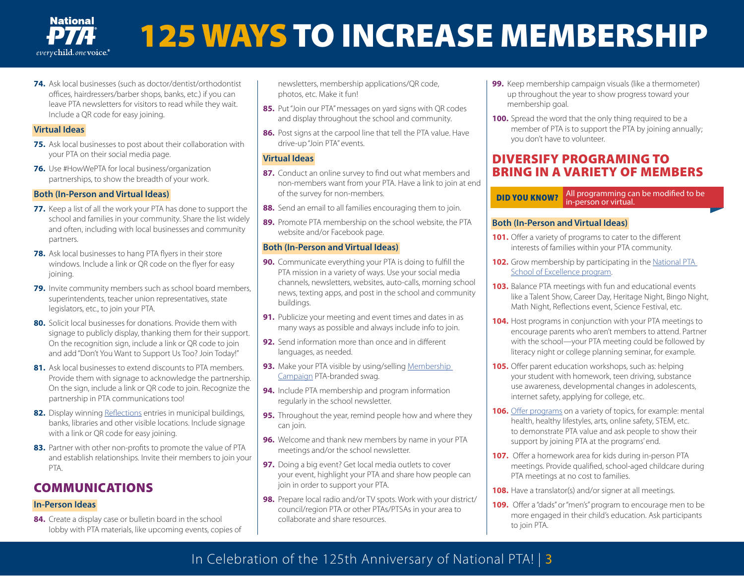

**74.** Ask local businesses (such as doctor/dentist/orthodontist offices, hairdressers/barber shops, banks, etc.) if you can leave PTA newsletters for visitors to read while they wait. Include a QR code for easy joining.

#### **Virtual Ideas**

- **75.** Ask local businesses to post about their collaboration with your PTA on their social media page.
- **76.** Use #HowWePTA for local business/organization partnerships, to show the breadth of your work.

#### **Both (In-Person and Virtual Ideas)**

- **77.** Keep a list of all the work your PTA has done to support the school and families in your community. Share the list widely and often, including with local businesses and community partners.
- **78.** Ask local businesses to hang PTA flyers in their store windows. Include a link or QR code on the flyer for easy joining.
- **79.** Invite community members such as school board members, superintendents, teacher union representatives, state legislators, etc., to join your PTA.
- **80.** Solicit local businesses for donations. Provide them with signage to publicly display, thanking them for their support. On the recognition sign, include a link or QR code to join and add "Don't You Want to Support Us Too? Join Today!"
- **81.** Ask local businesses to extend discounts to PTA members. Provide them with signage to acknowledge the partnership. On the sign, include a link or QR code to join. Recognize the partnership in PTA communications too!
- **82.** Display winning [Reflections](https://www.pta.org/home/programs/reflections) entries in municipal buildings, banks, libraries and other visible locations. Include signage with a link or QR code for easy joining.
- **83.** Partner with other non-profits to promote the value of PTA and establish relationships. Invite their members to join your PTA.

## COMMUNICATIONS

## **In-Person Ideas**

**84.** Create a display case or bulletin board in the school lobby with PTA materials, like upcoming events, copies of newsletters, membership applications/QR code, photos, etc. Make it fun!

- **85.** Put "Join our PTA" messages on yard signs with QR codes and display throughout the school and community.
- **86.** Post signs at the carpool line that tell the PTA value. Have drive-up "Join PTA" events.

## **Virtual Ideas**

- **87.** Conduct an online survey to find out what members and non-members want from your PTA. Have a link to join at end of the survey for non-members.
- **88.** Send an email to all families encouraging them to join.
- **89.** Promote PTA membership on the school website, the PTA website and/or Facebook page.

## **Both (In-Person and Virtual Ideas)**

- **90.** Communicate everything your PTA is doing to fulfill the PTA mission in a variety of ways. Use your social media channels, newsletters, websites, auto-calls, morning school news, texting apps, and post in the school and community buildings.
- **91.** Publicize your meeting and event times and dates in as many ways as possible and always include info to join.
- **92.** Send information more than once and in different languages, as needed.
- **93.** Make your PTA visible by using/selling Membership [Campaign](https://stores.shoppta.com/listings.lasso?c_id=Membership&host=1NPTA) PTA-branded swag.
- **94.** Include PTA membership and program information regularly in the school newsletter.
- **95.** Throughout the year, remind people how and where they can join.
- **96.** Welcome and thank new members by name in your PTA meetings and/or the school newsletter.
- **97.** Doing a big event? Get local media outlets to cover your event, highlight your PTA and share how people can join in order to support your PTA.
- **98.** Prepare local radio and/or TV spots. Work with your district/ council/region PTA or other PTAs/PTSAs in your area to collaborate and share resources.
- **99.** Keep membership campaign visuals (like a thermometer) up throughout the year to show progress toward your membership goal.
- **100.** Spread the word that the only thing required to be a member of PTA is to support the PTA by joining annually; you don't have to volunteer.

## DIVERSIFY PROGRAMING TO BRING IN A VARIETY OF MEMBERS

# **DID YOU KNOW?** All programming can be modified to be in-person or virtual.

#### **Both (In-Person and Virtual Ideas)**

- **101.** Offer a variety of programs to cater to the different interests of families within your PTA community.
- **102.** Grow membership by participating in the National PTA [School of Excellence program.](https://www.pta.org/home/programs/National-PTA-School-of-Excellence)
- **103.** Balance PTA meetings with fun and educational events like a Talent Show, Career Day, Heritage Night, Bingo Night, Math Night, Reflections event, Science Festival, etc.
- **104.** Host programs in conjunction with your PTA meetings to encourage parents who aren't members to attend. Partner with the school—your PTA meeting could be followed by literacy night or college planning seminar, for example.
- **105.** Offer parent education workshops, such as: helping your student with homework, teen driving, substance use awareness, developmental changes in adolescents, internet safety, applying for college, etc.
- **106.** [Offer programs](https://www.pta.org/home/programs) on a variety of topics, for example: mental health, healthy lifestyles, arts, online safety, STEM, etc. to demonstrate PTA value and ask people to show their support by joining PTA at the programs' end.
- **107.** Offer a homework area for kids during in-person PTA meetings. Provide qualified, school-aged childcare during PTA meetings at no cost to families.
- **108.** Have a translator(s) and/or signer at all meetings.
- **109.** Offer a "dads" or "men's" program to encourage men to be more engaged in their child's education. Ask participants to join PTA.